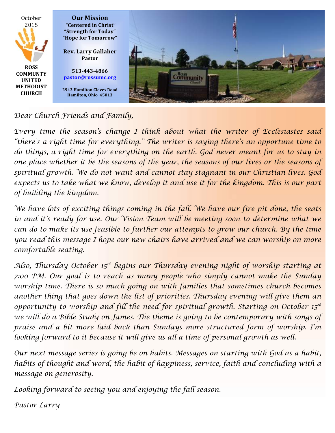

## *Dear Church Friends and Family,*

*Every time the season's change I think about what the writer of Ecclesiastes said "there's a right time for everything." The writer is saying there's an opportune time to do things, a right time for everything on the earth. God never meant for us to stay in one place whether it be the seasons of the year, the seasons of our lives or the seasons of spiritual growth. We do not want and cannot stay stagnant in our Christian lives. God expects us to take what we know, develop it and use it for the kingdom. This is our part of building the kingdom.*

*We have lots of exciting things coming in the fall. We have our fire pit done, the seats in and it's ready for use. Our Vision Team will be meeting soon to determine what we can do to make its use feasible to further our attempts to grow our church. By the time you read this message I hope our new chairs have arrived and we can worship on more comfortable seating.* 

*Also, Thursday October 15th begins our Thursday evening night of worship starting at 7:00 PM. Our goal is to reach as many people who simply cannot make the Sunday worship time. There is so much going on with families that sometimes church becomes another thing that goes down the list of priorities. Thursday evening will give them an opportunity to worship and fill the need for spiritual growth. Starting on October 15th* we will do a Bible Study on James. The theme is going to be contemporary with songs of *praise and a bit more laid back than Sundays more structured form of worship. I'm looking forward to it because it will give us all a time of personal growth as well.* 

*Our next message series is going be on habits. Messages on starting with God as a habit, habits of thought and word, the habit of happiness, service, faith and concluding with a message on generosity.* 

*Looking forward to seeing you and enjoying the fall season.*

*Pastor Larry*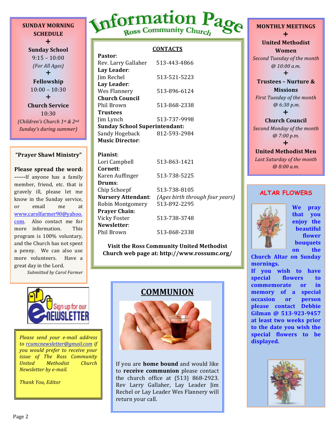**SUNDAY MORNING SCHEDULE**  $+$ 

**Sunday School**  $9:15 - 10:00$ *(For All Ages)*  $+$ **Fellowship**  $10:00 - 10:30$  $\div$ **Church Service** 10:30 *(Children's Church 1st & 2nd Sunday's during summer)*

#### **"Prayer Shawl Ministry"**

**Please spread the word: ------**If anyone has a family member, friend, etc. that is gravely ill, please let me know in the Sunday service, or email me at www.carolfarmer90@yahoo. com. Also contact me for more information. This program is 100% voluntary, and the Church has not spent a penny. We can also use more volunteers. Have a great day in the Lord.

*Submitted by Carol Farmer*

# Information Page

### **CONTACTS**

| Pastor:                              |              |  |
|--------------------------------------|--------------|--|
| Rev. Larry Gallaher                  | 513-443-4866 |  |
| Lay Leader:                          |              |  |
| Jim Rechel                           | 513-521-5223 |  |
| Lay Leader:                          |              |  |
| Wes Flannery                         | 513-896-6124 |  |
| Church Council                       |              |  |
| Phil Brown                           | 513-868-2338 |  |
| <b>Trustees</b>                      |              |  |
| Jim Lynch                            | 513-737-9998 |  |
| <b>Sunday School Superintendant:</b> |              |  |
| Sandy Hogeback                       | 812-593-2984 |  |
| Music Director:                      |              |  |

**Pianist**: Lori Campbell 513-863-1421 **Cornett**: Karen Auffinger 513-738-5225 **Drums**: Chip Schoepf 513-738-8105 **Nursery Attendant**: *(Ages birth through four years)* Robin Montgomery 513-892-2295 **Prayer Chain**: Vicky Foster 513-738-3748 **Newsletter**: Phil Brown 513-868-2338

**Visit the Ross Community United Methodist Church web page at: http://www.rossumc.org/**



to rcumcnewsletter@gmail.com if *you would prefer to receive your issue of The Ross Community United Methodist Church Newsletter by e-mail.* 

*Thank You, Editor*

# **COMMUNION**



If you are **home bound** and would like to **receive communion** please contact the church office at  $(513)$  868-2923. Rev Larry Gallaher, Lay Leader Jim Rechel or Lay Leader Wes Flannery will return your call.

**MONTHLY MEETINGS**  $\ddagger$ **United Methodist Women Second Tuesday of the month** *@ 10:00 a.m.*  $\ddagger$ **Trustees - Nurture & Missions** *First Tuesday of the month @ 6:30 p.m.*  $\ddagger$ 

# **Church Council**

**Second Monday of the month** *@ 7:00 p.m.*  $\ddag$ 

### **United Methodist Men** Last Saturday of the month *@ 8:00 a.m.*

## **ALTAR FLOWERS**



**We pray that you enjoy** the **beautiful flower bouquets on** the

**Church Altar on Sunday mornings.**

If you wish to have special flowers to **commemorate** or in **memory** of a special **occasion** or **person please contact Debbie Gilman @ 513-923-9457**  at least two weeks prior to the date you wish the **special flowers to be** 

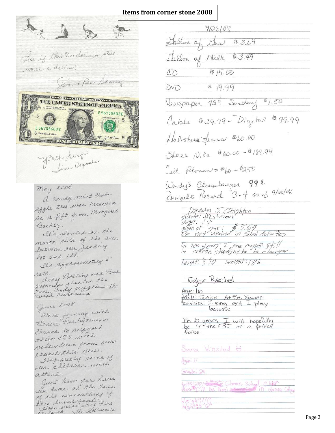## **Items from corner stone 2008**

See if this 4. or dellarge still write a della! Jam + Reva Denney **ELL'OLASTRERINATIONELLE DE L'ANNE** THE UNITED STATES OF AMERICA E56705603E  $\frac{L}{L}$  5 E56705603E 5 There Loudedo Cabril **DEALER ONE DOLLAR OF AN** Youth Group May 2008 a candy mixt crab. apple tree was received as a gift from Margaret Bochly. It's planted on the nouth side of the area between our facking lot and 128. It's approximating 6' ander Botting and Bus toll. Kottwage planted the tree. andy supplied the June 2008 We're joining with Venice Presbyteman Cheereck to support their VBS with valunteers from one cheerch this year Alopefeely some of our children will attend. Just how for have use come at the time of the unearthing of

This time causele here.<br>Hage we're still here.<br>on lexa. She Kottman's

9/28/08 Sallon a  $83.69$ Jas Iallon of Wilk  $43.49$  $CD$ \$15.00  $DVD$  $879.99$ Vewspaper 75° Sunday \$1.50 Cable \$39.99 - Digital \$99.99 Holisters Jeans tobo.00 Shores N. Ke \$60.00-\$189.99 Cell Plones > \$60-\$250 Wendy's Cheeseburger 994 Bingals Record 0-4 as of 9/28/08 Danevan J. Cleightan<br>globe: Preshman<br>gallon of gas: #3.69<br>I'm nat muolued in School Activities

In ten years I see myself it !!<br>in cattere studying to be alawyer

 $height:510 weight:186$ 

Taylor Rechel

 $Age:16$ 

anade! Junior At St. Xawier<br>Activities: I sing and I play

In 10 years I will hopefully<br>be in the FBI or a police

Sara Winsted &

 $A$ ge: 11

made, Ch

 $-\frac{1}{100}$  $$ here [1] be then no services in dance College

 $V$ cight $1/$ hight 5'6"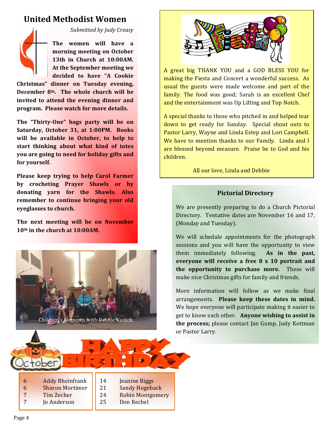# **United Methodist Women**



*Submitted by Judy Creasy*

The women will have a morning meeting on October **13th in Church at 10:00AM.** At the September meeting we **decided to have "A Cookie** 

**Christmas" dinner on Tuesday evening,**  December 8<sup>th</sup>. The whole church will be **invited to attend the evening dinner and** program. Please watch for more details.

The "Thirty-One" bags party will be on Saturday, October 31, at 1:00PM. Books will be available in October, to help to **start thinking about what kind of totes you are going to need for holiday gifts and** for yourself.

**Please keep trying to help Carol Farmer by** crocheting Prayer Shawls or by donating yarn for the Shawls. Also remember to continue bringing your old **eveglasses to church.** 

The next meeting will be on November **10th in the church at 10:00AM.** 





A great big THANK YOU and a GOD BLESS YOU for making the Fiesta and Concert a wonderful success. As usual the guests were made welcome and part of the family. The food was good; Sarah is an excellent Chef and the entertainment was Up Lifting and Top Notch.

A special thanks to those who pitched in and helped tear down to get ready for Sunday. Special shout outs to Pastor Larry, Wayne and Linda Estep and Lori Campbell. We have to mention thanks to our Family. Linda and I are blessed beyond measure. Praise be to God and his children. 

All our love, Linda and Debbie

## **Pictorial Directory**

We are presently preparing to do a Church Pictorial Directory. Tentative dates are November 16 and 17, (Monday and Tuesday).

We will schedule appointments for the photograph sessions and you will have the opportunity to view them immediately following. As in the past, everyone will receive a free 8 x 10 portrait and **the opportunity to purchase more.** These will make nice Christmas gifts for family and friends.

More information will follow as we make final arrangements. Please keep these dates in mind. We hope everyone will participate making it easier to get to know each other. Anyone wishing to assist in **the process;** please contact Jan Gump, Judy Kottman or Pastor Larry.

6 Addy Rheinfrank 6 Sharon Mortimer 7 Tim Zecher

tober

7 Jo Anderson

14 **Jeanine Biggs** 21 Sandy Hogeback 24 Robin Montgomery

25 Don Rechel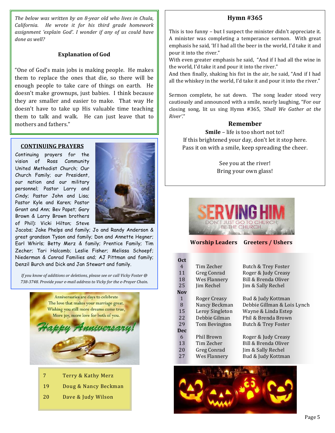The below was written by an 8-year old who lives in Chula, *California.* He wrote it for his third grade homework assignment 'explain God'. I wonder if any of us could have *done as well?*

#### **Explanation of God**

"One of God's main jobs is making people. He makes them to replace the ones that die, so there will be enough people to take care of things on earth. He doesn't make grownups, just babies. I think because they are smaller and easier to make. That way He doesn't have to take up His valuable time teaching them to talk and walk. He can just leave that to mothers and fathers."

#### **CONTINUING PRAYERS**

Continuing prayers for the vision of Ross Community United Methodist Church; Our Church Family; our President, our nation and our military personnel; Pastor Larry and Cindy; Pastor John and Lisa; Pastor Kyle and Karen; Pastor Grant and Ann; Bev Papet; Gary Brown & Larry Brown brothers of Phil): Vicki Hilton; Steve



Jacobs; Jake Phelps and family; Jo and Randy Anderson & great grandson Tyson and family; Don and Annette Hegner; Earl Whirls; Betty Merz & family; Prentice Family; Tim Zecher; Tari Halcomb; Leslie Fisher; Melissa Schoepf; Niederman & Conrad Families and; AJ Pittman and family; Denzil Burch and Dick and Jan Stewart and family.

*If you know of additions or deletions, please see or call Vicky Foster* @ 738-3748. Provide your e-mail address to Vicky for the e-Prayer Chain.



- 7 Terry & Kathy Merz
- 19 Doug & Nancy Beckman
- 20 Dave & Judy Wilson

## **Hymn #365**

This is too funny  $-$  but I suspect the minister didn't appreciate it. A minister was completing a temperance sermon. With great emphasis he said, 'If I had all the beer in the world, I'd take it and pour it into the river."

With even greater emphasis he said, "And if I had all the wine in the world, I'd take it and pour it into the river."

And then finally, shaking his fist in the air, he said, "And if I had all the whiskey in the world, I'd take it and pour it into the river."

Sermon complete, he sat down. The song leader stood very cautiously and announced with a smile, nearly laughing, "For our closing song, lit us sing Hymn #365, 'Shall We Gather at the *River'*."

#### **Remember**

**Smile** – life is too short not to!! If this brightened your day, don't let it stop here. Pass it on with a smile, keep spreading the cheer.

> See you at the river! Bring your own glass!



**Worship Leaders Greeters / Ushers** 

| 0 <sub>ct</sub> |                 |                             |
|-----------------|-----------------|-----------------------------|
| 4               | Tim Zecher      | Butch & Trey Foster         |
| 11              | Greg Conrad     | Roger & Judy Creasy         |
| 18              | Wes Flannery    | Bill & Brenda Oliver        |
| 25              | Jim Rechel      | Jim & Sally Rechel          |
| Nov             |                 |                             |
| $\mathbf{1}$    | Roger Creasy    | Bud & Judy Kottman          |
| 8               | Nancy Beckman   | Debbie Gillman & Lois Lynch |
| 15              | Leroy Singleton | Wayne & Linda Estep         |
| 22              | Debbie Gilman   | Phil & Brenda Brown         |
| 29              | Tom Bevington   | Butch & Trey Foster         |
| Dec             |                 |                             |
| 6               | Phil Brown      | Roger & Judy Creasy         |
| 13              | Tim Zecher      | Bill & Brenda Oliver        |
| 20              | Greg Conrad     | Jim & Sally Rechel          |
| 27              | Wes Flannery    | Bud & Judy Kottman          |
|                 |                 |                             |